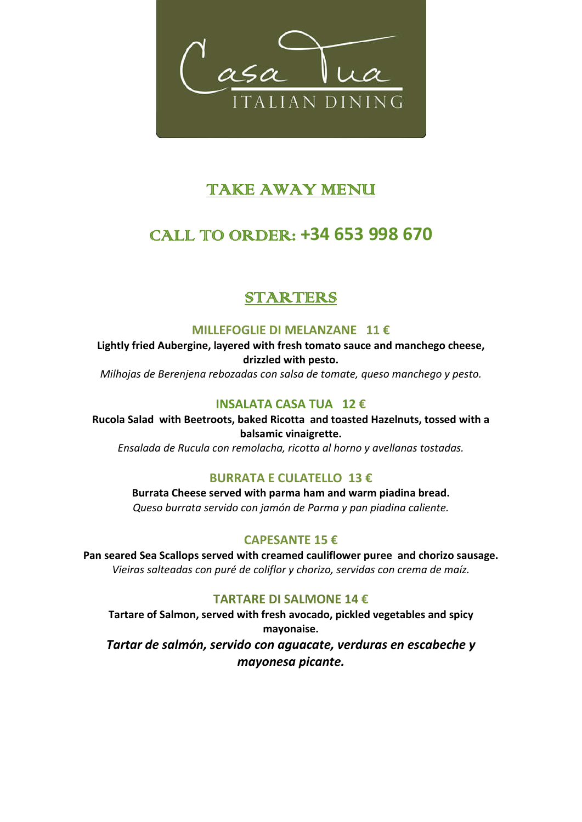

# TAKE AWAY MENU

# CALL TO ORDER: **+34 653 998 670**

## STARTERS

#### **MILLEFOGLIE DI MELANZANE 11 €**

**Lightly fried Aubergine, layered with fresh tomato sauce and manchego cheese, drizzled with pesto.**

*Milhojas de Berenjena rebozadas con salsa de tomate, queso manchego y pesto.*

### **INSALATA CASA TUA 12 €**

**Rucola Salad with Beetroots, baked Ricotta and toasted Hazelnuts, tossed with a balsamic vinaigrette.** *Ensalada de Rucula con remolacha, ricotta al horno y avellanas tostadas.* 

## **BURRATA E CULATELLO 13 €**

**Burrata Cheese served with parma ham and warm piadina bread.** *Queso burrata servido con jamón de Parma y pan piadina caliente.*

## **CAPESANTE 15 €**

**Pan seared Sea Scallops served with creamed cauliflower puree and chorizo sausage.** *Vieiras salteadas con puré de coliflor y chorizo, servidas con crema de maíz.*

### **TARTARE DI SALMONE 14 €**

**Tartare of Salmon, served with fresh avocado, pickled vegetables and spicy mayonaise.**  *Tartar de salmón, servido con aguacate, verduras en escabeche y mayonesa picante.*